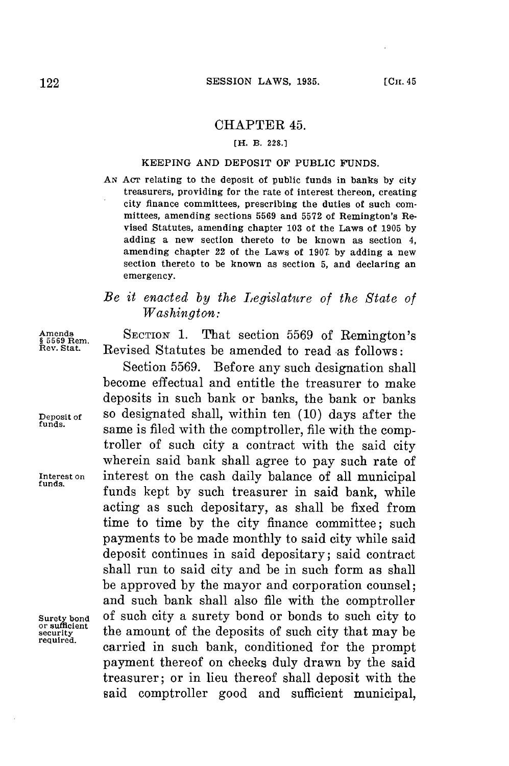## CHAPTER 45.

### **[H. B. 228.1**

### KEEPING **AND DEPOSIT** OF PUBLIC **FUNDS.**

*AN* Acr relating to the deposit of public funds in banks **by** city treasurers, providing for the rate of interest thereon, creating city finance committees, prescribing the duties of such committees, amending sections **5569** and **5572** of Remington's Revised Statutes, amending chapter **103** of the Laws of **1905 by** adding a new section thereto to be known as section 4, amending chapter 22 of the Laws of **1907 by** adding a new section thereto to be known as section **5,** and declaring an **emergency.**

# *Be it enacted by the Legislature of the State of Washington:*

Amends<br>\$569 Rem. SECTION 1. That section 5569 of Remington's<br>Rev. Stat. Revised Statutes be amended to read as follows: Revised Statutes be amended to read as follows:

Section **5569.** Before any such designation shall become effectual and entitle the treasurer to make deposits in such bank or banks, the bank or banks **Deposit of** so designated shall, within ten **(10)** days after the same is filed with the comptroller, file with the comptroller of such city a contract with the said city wherein said bank shall agree to pay such rate of **Interest on** interest on the cash daily balance of all municipal funds kept **by** such treasurer in said bank, while acting as such depositary, as shall be fixed from time to time **by** the city finance committee; such payments to be made monthly to said city while said deposit continues in said depositary; said contract shall run to said city and be in such form as shall be approved **by** the mayor and corporation counsel; and such bank shall also file with the comptroller Surety bond of such city a surety bond or bonds to such city to or sufficient<br>
security<br>
required,<br>
carried in such bank, conditioned for the prompt payment thereof on checks duly drawn **by** the said treasurer; or in lieu thereof shall deposit with the said comptroller good and sufficient municipal,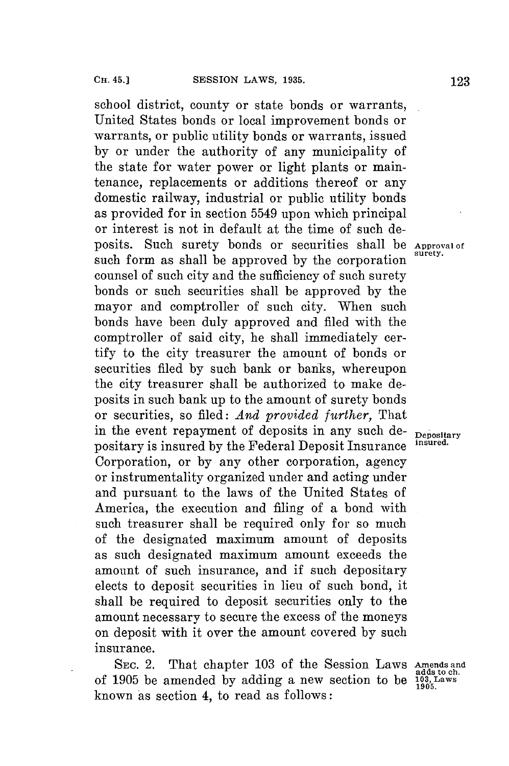school district, county or state bonds or warrants, United States bonds or local improvement bonds or warrants, or public utility bonds or warrants, issued **by** or under the authority of any municipality of the state for water power or light plants or maintenance, replacements or additions thereof or any domestic railway, industrial or public utility bonds as provided for in section 5549 upon which principal or interest is not in default at the time of such deposits. Such surety bonds or securities shall be Approval of such form as shall be approved by the corporation counsel of such city and the sufficiency of such surety bonds or such securities shall be approved **by** the mayor and comptroller of such city. When such bonds have been duly approved and filed with the comptroller of said city, he shall immediately certify to the city treasurer the amount of bonds or securities filed **by** such bank or banks, whereupon the city treasurer shall be authorized to make deposits in such bank up to the amount of surety bonds or securities, so filed: *And provided further,* That in the event repayment of deposits in any such de- **Depositary** positary is insured **by** the Federal Deposit Insurance **insured.** Corporation, or **by** any other corporation, agency or instrumentality organized under and acting under and pursuant to the laws of the United States of America, the execution and filing of a bond with such treasurer shall be required only for so much of the designated maximum amount of deposits as such designated maximum amount exceeds the amount of such insurance, and if such depositary elects to deposit securities in lieu of such bond, it shall be required to deposit securities only to the amount necessary to secure the excess of the moneys on deposit with it over the amount covered **by** such insurance.

SEC. 2. That chapter 103 of the Session Laws Amends and of **1905** be amended **by** adding a new section to be **103, Laws 1904.** known as section 4, to read as follows:

adds to **ch.**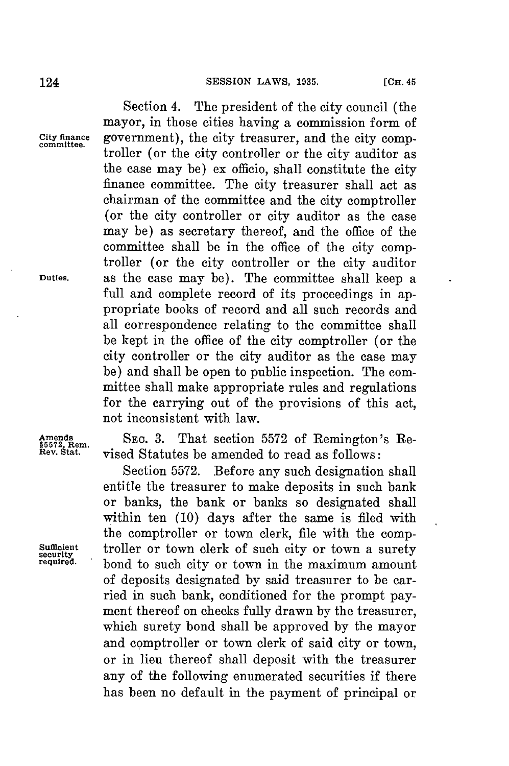Section 4. The president of the city council (the mayor, in those cities having a commission form of **City finance** government), the city treasurer, and the city comp- **committee.** troller (or the city controller or the city auditor as the case may be) ex officio, shall constitute the city finance committee. The city treasurer shall act as chairman of the committee and the city comptroller (or the city controller or city auditor as the case may be) as secretary thereof, and the office of the committee shall be in the office of the city comptroller (or the city controller or the city auditor **Duties.** as the case may be). The committee shall keep a full and complete record of its proceedings in appropriate books of record and all such records and all correspondence relating to the committee shall be kept in the office of the city comptroller (or the city controller or the city auditor as the case may be) and shall be open to public inspection. The committee shall make appropriate rules and regulations for the carrying out of the provisions of this act, not inconsistent with law.

Amends SEC. 3. That section 5572 of Remington's Research Remeter of Sec. 3. **That section 5572 of Remington's Re**vised Statutes be amended to read as follows:

Section **5572.** Before any such designation shall entitle the treasurer to make deposits in such bank or banks, the bank or banks so designated shall within ten **(10)** days after the same is filed with the comptroller or town clerk, file with the comp-Sufficient troller or town clerk of such city or town a surety required. head to such city or town in the maximum amount bond to such city or town in the maximum amount of deposits designated **by** said treasurer to be carried in such bank, conditioned for the prompt payment thereof on checks fully drawn **by** the treasurer, which surety bond shall be approved **by** the mayor and comptroller or town clerk of said city or town, or in lieu thereof shall deposit with the treasurer any of the following enumerated securities if there has been no default in the payment of principal or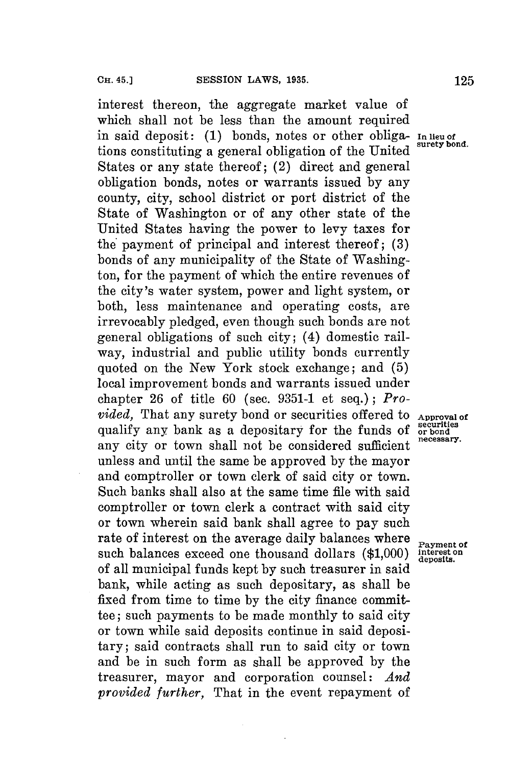interest thereon, the aggregate market value of which shall not be less than the amount required which shall not be less shall  $-$ . tions constituting a general obligation of the United States or any state thereof; (2) direct and general obligation bonds, notes or warrants issued **by** any county, city, school district or port district of the State of Washington or of any other state of the United States having the power to levy taxes for the payment of principal and interest thereof; **(3)** bonds of any municipality of the State of Washington, for the payment of which the entire revenues of the city's water system, power and light system, or both, less maintenance and operating costs, are irrevocably pledged, even though such bonds are not general obligations of such city; (4) domestic railway, industrial and public utility bonds currently quoted on the New York stock exchange; and **(5)** local improvement bonds and warrants issued under chapter **26** of title **60** (sec. **9351-1** et seq.) **;** *Provided*, That any surety bond or securities offered to **Approval of** qualify any bank as a depositary for the funds of  $\sigma$ <sup>securities</sup> qualify any bank as a depositary for the funds of **occurrities** any city or town shall not be considered sufficient unless and until the same be approved **by** the mayor and comptroller or town clerk of said city or town. Such banks shall also at the same time file with said comptroller or town clerk a contract with said city or town wherein said bank shall agree to pay such rate of interest on the average daily balances where **Payment of** such balances exceed one thousand dollars (\$1,000) interest on such balances exceed one thousand dollars (\$1,000) of all municipal funds kept **by** such treasurer in said bank, while acting as such depositary, as shall be fixed from time to time **by** the city finance committee; such payments to be made monthly to said city or town while said deposits continue in said depositary; said contracts shall run to said city or town and be in such form as shall be approved **by** the treasurer, mayor and corporation counsel: *And provided further,* That in the event repayment of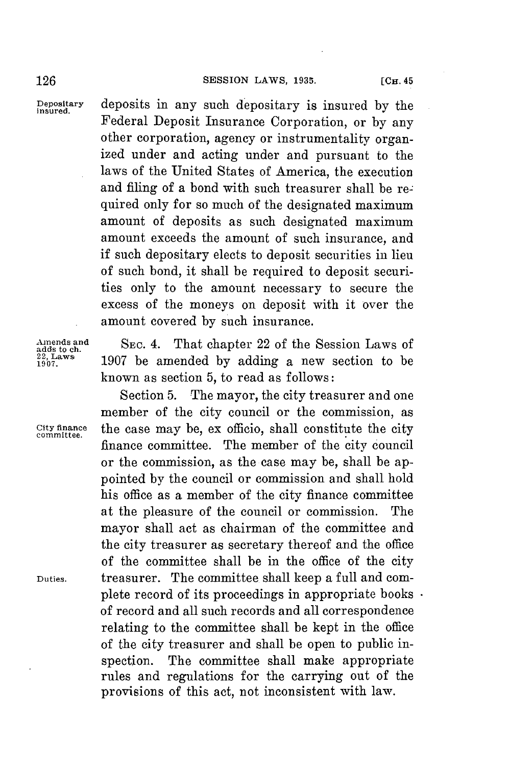**Depositary** deposits in any such depositary is insured **by** the **insured.** Federal Deposit Insurance Corporation, or **by** any other corporation, agency or instrumentality organized under and acting under and pursuant to the laws of the United States of America, the execution and filing of a bond with such treasurer shall be required only for so much of the designated maximum amount of deposits as such designated maximum amount exceeds the amount of such insurance, and if such depositary elects to deposit securities in lieu of such bond, it shall be required to deposit securities only to the amount necessary to secure the excess of the moneys on deposit with it over the amount covered **by** such insurance.

Amends and SEC. 4. That chapter 22 of the Session Laws of  $\frac{22, \text{ Laws}}{1907}$  and **1907** be amended by adding a new section to be known as section **5,** to read as follows:

Section **5.** The mayor, the city treasurer and one member of the city council or the commission, as **City finance** the case may be, ex officio, shall constitute the city **committee.** finance committee. The member of the city council or the commission, as the case may be, shall be appointed **by** the council or commission and shall hold his office as a member of the city finance committee at the pleasure of the council or commission. The mayor shall act as chairman of the committee and the city treasurer as secretary thereof and the office of the committee shall be in the office of the city **Duties.** treasurer. The committee shall keep a full and complete record of its proceedings in appropriate books of record and all such records and all correspondence relating to the committee shall be kept in the office of the city treasurer and shall be open to public inspection. The committee shall make appropriate rules and regulations for the carrying out of the provisions of this act, not inconsistent with law.